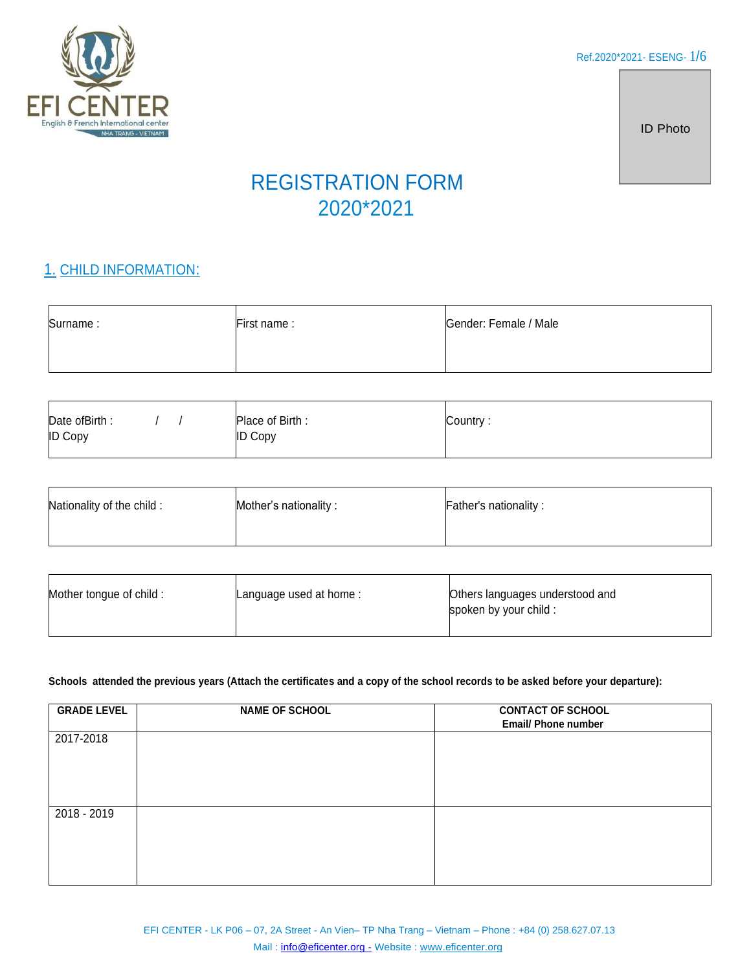

ID Photo

# REGISTRATION FORM 2020\*2021

# 1. CHILD INFORMATION:

| Surname: | First name: | Gender: Female / Male |
|----------|-------------|-----------------------|
|          |             |                       |

| Date of Birth:<br><b>ID Copy</b> | Place of Birth:<br><b>ID Copy</b> | Country: |
|----------------------------------|-----------------------------------|----------|
|                                  |                                   |          |

| Nationality of the child: | Mother's nationality: | <b>Father's nationality:</b> |
|---------------------------|-----------------------|------------------------------|
|                           |                       |                              |

| Mother tongue of child: | Language used at home: | Others languages understood and<br>spoken by your child : |
|-------------------------|------------------------|-----------------------------------------------------------|
|                         |                        |                                                           |

#### **Schools attended the previous years (Attach the certificates and a copy of the school records to be asked before your departure):**

| <b>GRADE LEVEL</b> | <b>NAME OF SCHOOL</b> | <b>CONTACT OF SCHOOL</b><br><b>Email/ Phone number</b> |
|--------------------|-----------------------|--------------------------------------------------------|
| 2017-2018          |                       |                                                        |
| 2018 - 2019        |                       |                                                        |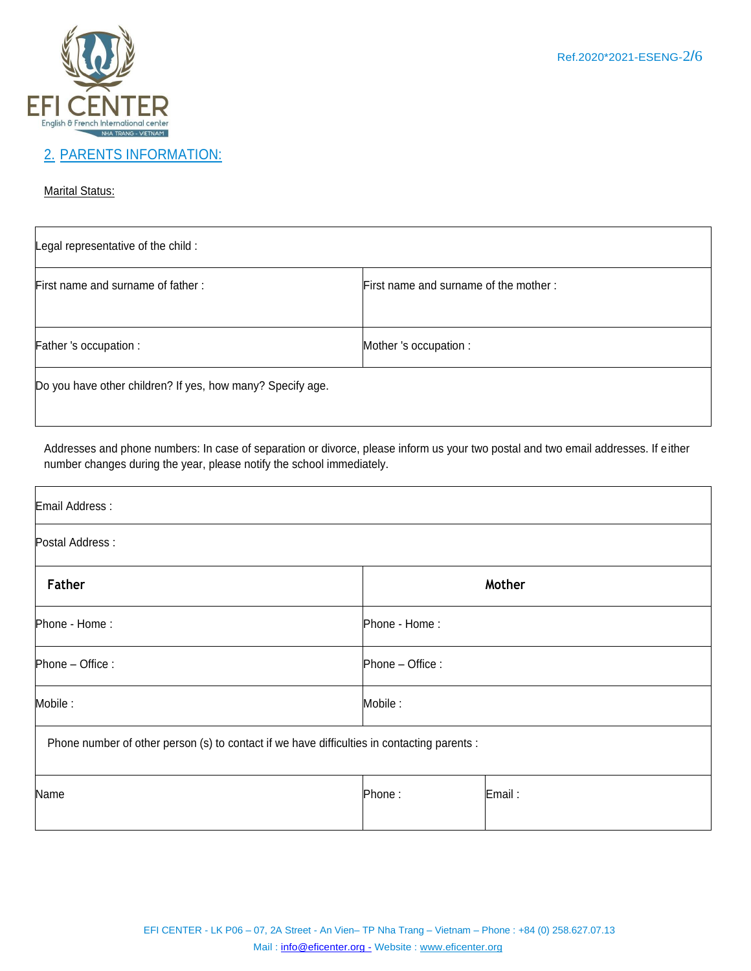

### 2. PARENTS INFORMATION:

#### **Marital Status:**

| Legal representative of the child :                        |                                       |  |
|------------------------------------------------------------|---------------------------------------|--|
| First name and surname of father:                          | First name and surname of the mother: |  |
| Father 's occupation :                                     | Mother 's occupation :                |  |
| Do you have other children? If yes, how many? Specify age. |                                       |  |

Addresses and phone numbers: In case of separation or divorce, please inform us your two postal and two email addresses. If either number changes during the year, please notify the school immediately.

| Email Address:                                                                              |                  |        |
|---------------------------------------------------------------------------------------------|------------------|--------|
| Postal Address :                                                                            |                  |        |
| Father                                                                                      |                  | Mother |
| Phone - Home:                                                                               | Phone - Home:    |        |
| Phone - Office :                                                                            | Phone - Office : |        |
| Mobile :                                                                                    | Mobile:          |        |
| Phone number of other person (s) to contact if we have difficulties in contacting parents : |                  |        |
| Name                                                                                        | Phone:           | Email: |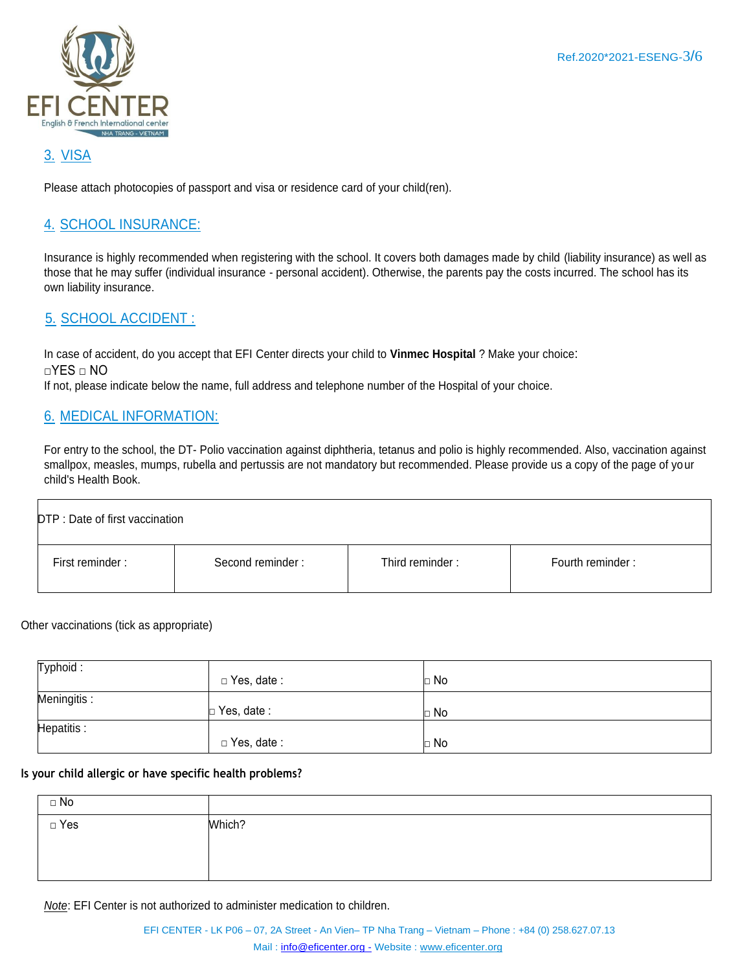

# 3. VISA

Please attach photocopies of passport and visa or residence card of your child(ren).

### 4. SCHOOL INSURANCE:

Insurance is highly recommended when registering with the school. It covers both damages made by child (liability insurance) as well as those that he may suffer (individual insurance - personal accident). Otherwise, the parents pay the costs incurred. The school has its own liability insurance.

### 5. SCHOOL ACCIDENT :

In case of accident, do you accept that EFI Center directs your child to **Vinmec Hospital** ? Make your choice: □YES □ NO If not, please indicate below the name, full address and telephone number of the Hospital of your choice.

### 6. MEDICAL INFORMATION:

For entry to the school, the DT- Polio vaccination against diphtheria, tetanus and polio is highly recommended. Also, vaccination against smallpox, measles, mumps, rubella and pertussis are not mandatory but recommended. Please provide us a copy of the page of your child's Health Book.

| DTP : Date of first vaccination |                  |                 |                  |
|---------------------------------|------------------|-----------------|------------------|
| First reminder:                 | Second reminder: | Third reminder: | Fourth reminder: |

Other vaccinations (tick as appropriate)

| Typhoid:    | $\Box$ Yes, date : | $\Box$ No |
|-------------|--------------------|-----------|
| Meningitis: | $\Box$ Yes, date:  | $\Box$ No |
| Hepatitis:  | $\Box$ Yes, date : | $\Box$ No |

#### **Is your child allergic or have specific health problems?**

| $\Box$ No  |        |
|------------|--------|
| $\Box$ Yes | Which? |
|            |        |
|            |        |

*Note*: EFI Center is not authorized to administer medication to children.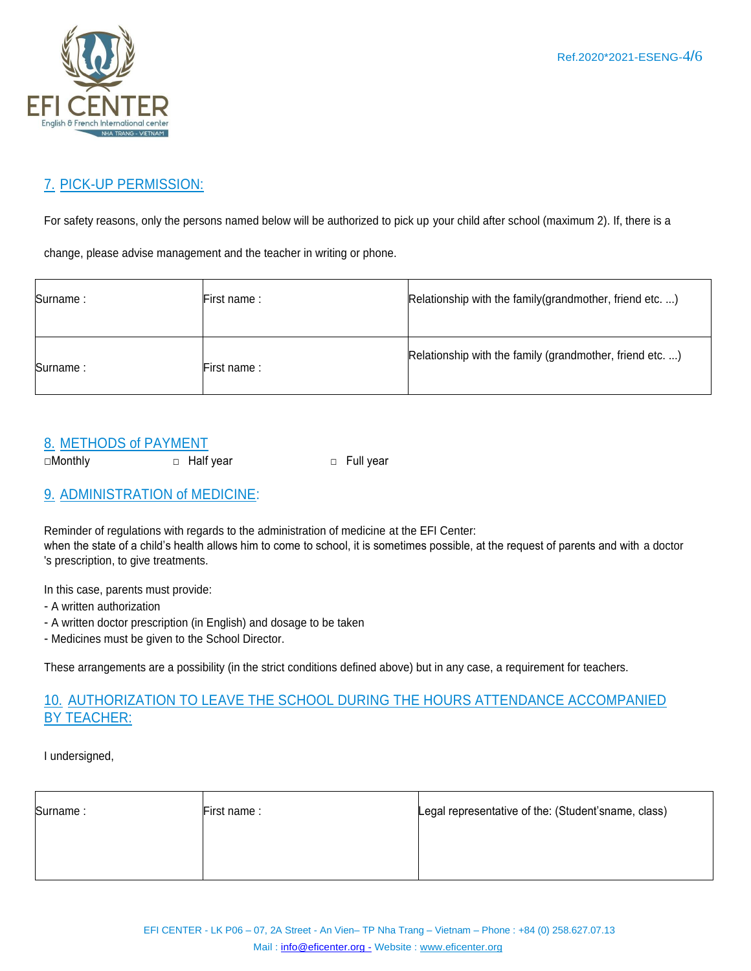

# 7. PICK-UP PERMISSION:

For safety reasons, only the persons named below will be authorized to pick up your child after school (maximum 2). If, there is a

change, please advise management and the teacher in writing or phone.

| Surname: | First name: | Relationship with the family (grandmother, friend etc)   |
|----------|-------------|----------------------------------------------------------|
| Surname: | First name: | Relationship with the family (grandmother, friend etc. ) |

### 8. METHODS of PAYMENT

□Monthly □ Balf year □ Full year

# 9. ADMINISTRATION of MEDICINE:

Reminder of regulations with regards to the administration of medicine at the EFI Center: when the state of a child's health allows him to come to school, it is sometimes possible, at the request of parents and with a doctor 's prescription, to give treatments.

In this case, parents must provide:

- A written authorization
- A written doctor prescription (in English) and dosage to be taken
- Medicines must be given to the School Director.

These arrangements are a possibility (in the strict conditions defined above) but in any case, a requirement for teachers.

### 10. AUTHORIZATION TO LEAVE THE SCHOOL DURING THE HOURS ATTENDANCE ACCOMPANIED BY TEACHER:

I undersigned,

| Surname: | First name: | Legal representative of the: (Student'sname, class) |
|----------|-------------|-----------------------------------------------------|
|          |             |                                                     |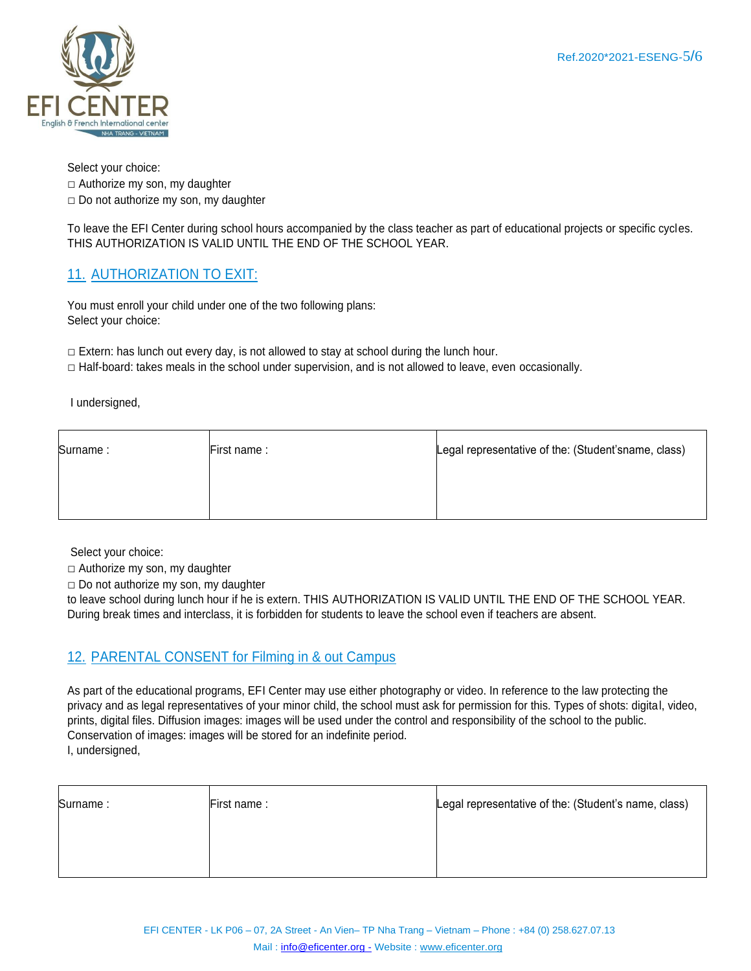

Select your choice:

 $\Box$  Authorize my son, my daughter

 $\square$  Do not authorize my son, my daughter

To leave the EFI Center during school hours accompanied by the class teacher as part of educational projects or specific cycles. THIS AUTHORIZATION IS VALID UNTIL THE END OF THE SCHOOL YEAR.

# 11. AUTHORIZATION TO EXIT:

You must enroll your child under one of the two following plans: Select your choice:

 $\Box$  Extern: has lunch out every day, is not allowed to stay at school during the lunch hour.

 $\Box$  Half-board: takes meals in the school under supervision, and is not allowed to leave, even occasionally.

I undersigned,

| Surname: | First name: | Legal representative of the: (Student'sname, class) |
|----------|-------------|-----------------------------------------------------|
|          |             |                                                     |
|          |             |                                                     |

Select your choice:

□ Authorize my son, my daughter

 $\Box$  Do not authorize my son, my daughter

to leave school during lunch hour if he is extern. THIS AUTHORIZATION IS VALID UNTIL THE END OF THE SCHOOL YEAR. During break times and interclass, it is forbidden for students to leave the school even if teachers are absent.

### 12. PARENTAL CONSENT for Filming in & out Campus

As part of the educational programs, EFI Center may use either photography or video. In reference to the law protecting the privacy and as legal representatives of your minor child, the school must ask for permission for this. Types of shots: digital, video, prints, digital files. Diffusion images: images will be used under the control and responsibility of the school to the public. Conservation of images: images will be stored for an indefinite period. I, undersigned,

| Surname: | First name: | Legal representative of the: (Student's name, class) |
|----------|-------------|------------------------------------------------------|
|          |             |                                                      |
|          |             |                                                      |